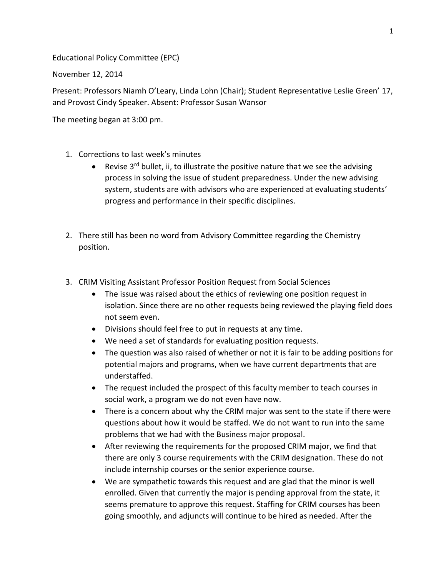Educational Policy Committee (EPC)

November 12, 2014

Present: Professors Niamh O'Leary, Linda Lohn (Chair); Student Representative Leslie Green' 17, and Provost Cindy Speaker. Absent: Professor Susan Wansor

The meeting began at 3:00 pm.

- 1. Corrections to last week's minutes
	- **•** Revise 3<sup>rd</sup> bullet, ii, to illustrate the positive nature that we see the advising process in solving the issue of student preparedness. Under the new advising system, students are with advisors who are experienced at evaluating students' progress and performance in their specific disciplines.
- 2. There still has been no word from Advisory Committee regarding the Chemistry position.
- 3. CRIM Visiting Assistant Professor Position Request from Social Sciences
	- The issue was raised about the ethics of reviewing one position request in isolation. Since there are no other requests being reviewed the playing field does not seem even.
	- Divisions should feel free to put in requests at any time.
	- We need a set of standards for evaluating position requests.
	- The question was also raised of whether or not it is fair to be adding positions for potential majors and programs, when we have current departments that are understaffed.
	- The request included the prospect of this faculty member to teach courses in social work, a program we do not even have now.
	- There is a concern about why the CRIM major was sent to the state if there were questions about how it would be staffed. We do not want to run into the same problems that we had with the Business major proposal.
	- After reviewing the requirements for the proposed CRIM major, we find that there are only 3 course requirements with the CRIM designation. These do not include internship courses or the senior experience course.
	- We are sympathetic towards this request and are glad that the minor is well enrolled. Given that currently the major is pending approval from the state, it seems premature to approve this request. Staffing for CRIM courses has been going smoothly, and adjuncts will continue to be hired as needed. After the